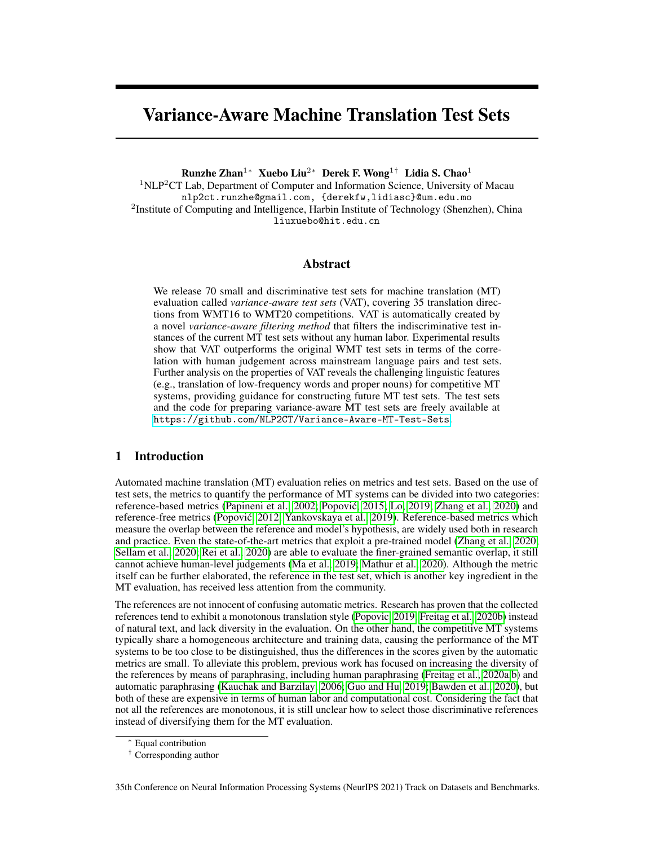# Variance-Aware Machine Translation Test Sets

Runzhe Zhan1<sup>∗</sup> Xuebo Liu2<sup>∗</sup> Derek F. Wong1† Lidia S. Chao<sup>1</sup>  $1NLP<sup>2</sup>CT$  Lab, Department of Computer and Information Science, University of Macau nlp2ct.runzhe@gmail.com, {derekfw,lidiasc}@um.edu.mo <sup>2</sup>Institute of Computing and Intelligence, Harbin Institute of Technology (Shenzhen), China liuxuebo@hit.edu.cn

## Abstract

We release 70 small and discriminative test sets for machine translation (MT) evaluation called *variance-aware test sets* (VAT), covering 35 translation directions from WMT16 to WMT20 competitions. VAT is automatically created by a novel *variance-aware filtering method* that filters the indiscriminative test instances of the current MT test sets without any human labor. Experimental results show that VAT outperforms the original WMT test sets in terms of the correlation with human judgement across mainstream language pairs and test sets. Further analysis on the properties of VAT reveals the challenging linguistic features (e.g., translation of low-frequency words and proper nouns) for competitive MT systems, providing guidance for constructing future MT test sets. The test sets and the code for preparing variance-aware MT test sets are freely available at <https://github.com/NLP2CT/Variance-Aware-MT-Test-Sets>.

# 1 Introduction

Automated machine translation (MT) evaluation relies on metrics and test sets. Based on the use of test sets, the metrics to quantify the performance of MT systems can be divided into two categories: reference-based metrics [\(Papineni et al., 2002;](#page-12-0) [Popovic, 2015;](#page-12-1) [Lo, 2019;](#page-11-0) [Zhang et al., 2020\)](#page-13-0) and ´ reference-free metrics [\(Popovic, 2012;](#page-12-2) [Yankovskaya et al., 2019\)](#page-13-1). Reference-based metrics which ´ measure the overlap between the reference and model's hypothesis, are widely used both in research and practice. Even the state-of-the-art metrics that exploit a pre-trained model [\(Zhang et al., 2020;](#page-13-0) [Sellam et al., 2020;](#page-12-3) [Rei et al., 2020\)](#page-12-4) are able to evaluate the finer-grained semantic overlap, it still cannot achieve human-level judgements [\(Ma et al., 2019;](#page-11-1) [Mathur et al., 2020\)](#page-12-5). Although the metric itself can be further elaborated, the reference in the test set, which is another key ingredient in the MT evaluation, has received less attention from the community.

The references are not innocent of confusing automatic metrics. Research has proven that the collected references tend to exhibit a monotonous translation style [\(Popovic, 2019;](#page-12-6) [Freitag et al., 2020b\)](#page-11-2) instead of natural text, and lack diversity in the evaluation. On the other hand, the competitive MT systems typically share a homogeneous architecture and training data, causing the performance of the MT systems to be too close to be distinguished, thus the differences in the scores given by the automatic metrics are small. To alleviate this problem, previous work has focused on increasing the diversity of the references by means of paraphrasing, including human paraphrasing [\(Freitag et al., 2020a,](#page-11-3)[b\)](#page-11-2) and automatic paraphrasing [\(Kauchak and Barzilay, 2006;](#page-11-4) [Guo and Hu, 2019;](#page-11-5) [Bawden et al., 2020\)](#page-10-0), but both of these are expensive in terms of human labor and computational cost. Considering the fact that not all the references are monotonous, it is still unclear how to select those discriminative references instead of diversifying them for the MT evaluation.

Equal contribution

<sup>†</sup> Corresponding author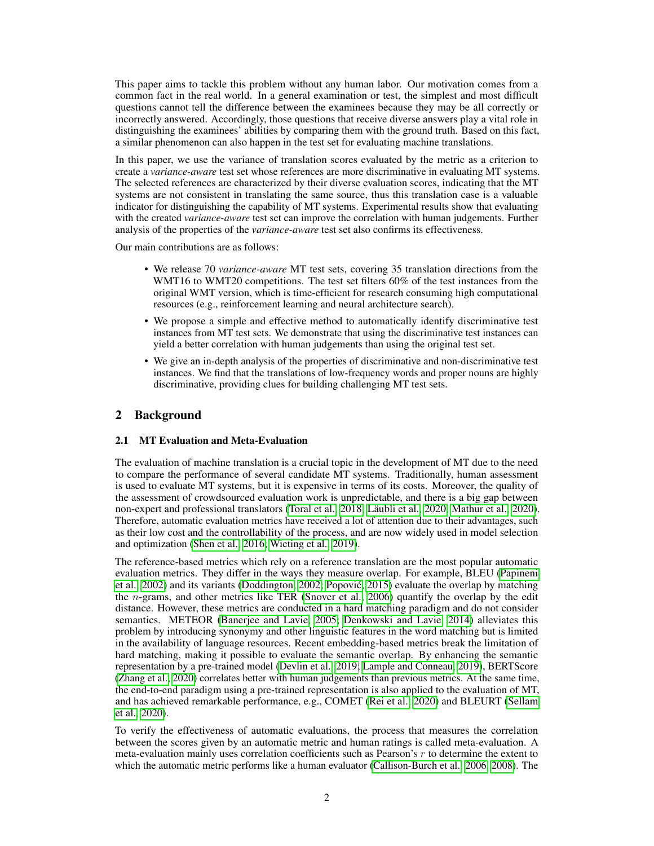This paper aims to tackle this problem without any human labor. Our motivation comes from a common fact in the real world. In a general examination or test, the simplest and most difficult questions cannot tell the difference between the examinees because they may be all correctly or incorrectly answered. Accordingly, those questions that receive diverse answers play a vital role in distinguishing the examinees' abilities by comparing them with the ground truth. Based on this fact, a similar phenomenon can also happen in the test set for evaluating machine translations.

In this paper, we use the variance of translation scores evaluated by the metric as a criterion to create a *variance-aware* test set whose references are more discriminative in evaluating MT systems. The selected references are characterized by their diverse evaluation scores, indicating that the MT systems are not consistent in translating the same source, thus this translation case is a valuable indicator for distinguishing the capability of MT systems. Experimental results show that evaluating with the created *variance-aware* test set can improve the correlation with human judgements. Further analysis of the properties of the *variance-aware* test set also confirms its effectiveness.

Our main contributions are as follows:

- We release 70 *variance-aware* MT test sets, covering 35 translation directions from the WMT16 to WMT20 competitions. The test set filters 60% of the test instances from the original WMT version, which is time-efficient for research consuming high computational resources (e.g., reinforcement learning and neural architecture search).
- We propose a simple and effective method to automatically identify discriminative test instances from MT test sets. We demonstrate that using the discriminative test instances can yield a better correlation with human judgements than using the original test set.
- We give an in-depth analysis of the properties of discriminative and non-discriminative test instances. We find that the translations of low-frequency words and proper nouns are highly discriminative, providing clues for building challenging MT test sets.

# 2 Background

# 2.1 MT Evaluation and Meta-Evaluation

The evaluation of machine translation is a crucial topic in the development of MT due to the need to compare the performance of several candidate MT systems. Traditionally, human assessment is used to evaluate MT systems, but it is expensive in terms of its costs. Moreover, the quality of the assessment of crowdsourced evaluation work is unpredictable, and there is a big gap between non-expert and professional translators [\(Toral et al., 2018;](#page-12-7) [Läubli et al., 2020;](#page-11-6) [Mathur et al., 2020\)](#page-12-5). Therefore, automatic evaluation metrics have received a lot of attention due to their advantages, such as their low cost and the controllability of the process, and are now widely used in model selection and optimization [\(Shen et al., 2016;](#page-12-8) [Wieting et al., 2019\)](#page-13-2).

The reference-based metrics which rely on a reference translation are the most popular automatic evaluation metrics. They differ in the ways they measure overlap. For example, BLEU [\(Papineni](#page-12-0) [et al., 2002\)](#page-12-0) and its variants [\(Doddington, 2002;](#page-10-1) [Popovic, 2015\)](#page-12-1) evaluate the overlap by matching ´ the n-grams, and other metrics like TER [\(Snover et al., 2006\)](#page-12-9) quantify the overlap by the edit distance. However, these metrics are conducted in a hard matching paradigm and do not consider semantics. METEOR [\(Banerjee and Lavie, 2005;](#page-9-0) [Denkowski and Lavie, 2014\)](#page-10-2) alleviates this problem by introducing synonymy and other linguistic features in the word matching but is limited in the availability of language resources. Recent embedding-based metrics break the limitation of hard matching, making it possible to evaluate the semantic overlap. By enhancing the semantic representation by a pre-trained model [\(Devlin et al., 2019;](#page-10-3) [Lample and Conneau, 2019\)](#page-11-7), BERTScore [\(Zhang et al., 2020\)](#page-13-0) correlates better with human judgements than previous metrics. At the same time, the end-to-end paradigm using a pre-trained representation is also applied to the evaluation of MT, and has achieved remarkable performance, e.g., COMET [\(Rei et al., 2020\)](#page-12-4) and BLEURT [\(Sellam](#page-12-3) [et al., 2020\)](#page-12-3).

To verify the effectiveness of automatic evaluations, the process that measures the correlation between the scores given by an automatic metric and human ratings is called meta-evaluation. A meta-evaluation mainly uses correlation coefficients such as Pearson's  $r$  to determine the extent to which the automatic metric performs like a human evaluator [\(Callison-Burch et al., 2006,](#page-10-4) [2008\)](#page-10-5). The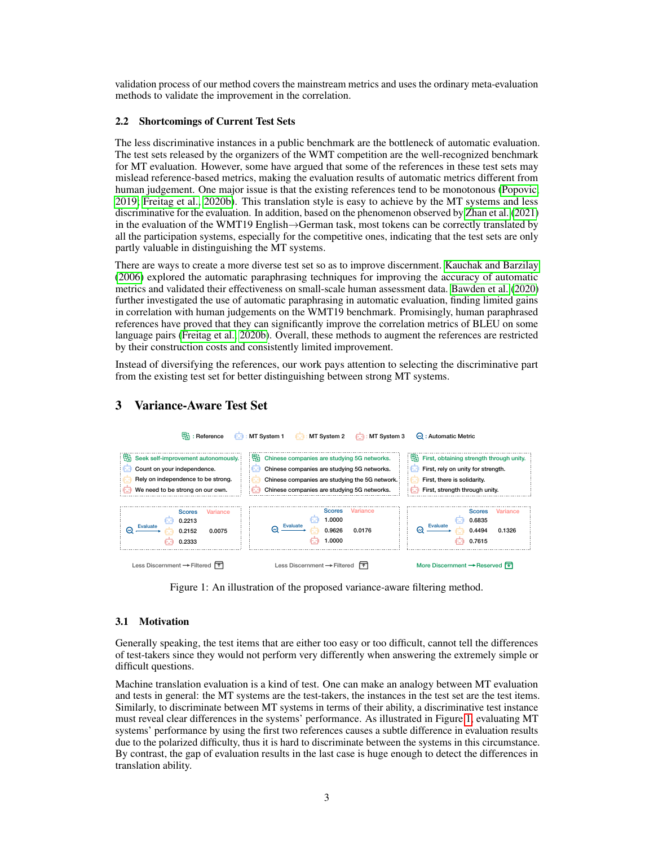validation process of our method covers the mainstream metrics and uses the ordinary meta-evaluation methods to validate the improvement in the correlation.

#### 2.2 Shortcomings of Current Test Sets

The less discriminative instances in a public benchmark are the bottleneck of automatic evaluation. The test sets released by the organizers of the WMT competition are the well-recognized benchmark for MT evaluation. However, some have argued that some of the references in these test sets may mislead reference-based metrics, making the evaluation results of automatic metrics different from human judgement. One major issue is that the existing references tend to be monotonous [\(Popovic,](#page-12-6) [2019;](#page-12-6) [Freitag et al., 2020b\)](#page-11-2). This translation style is easy to achieve by the MT systems and less discriminative for the evaluation. In addition, based on the phenomenon observed by [Zhan et al.](#page-13-3) [\(2021\)](#page-13-3) in the evaluation of the WMT19 English→German task, most tokens can be correctly translated by all the participation systems, especially for the competitive ones, indicating that the test sets are only partly valuable in distinguishing the MT systems.

There are ways to create a more diverse test set so as to improve discernment. [Kauchak and Barzilay](#page-11-4) [\(2006\)](#page-11-4) explored the automatic paraphrasing techniques for improving the accuracy of automatic metrics and validated their effectiveness on small-scale human assessment data. [Bawden et al.](#page-10-0) [\(2020\)](#page-10-0) further investigated the use of automatic paraphrasing in automatic evaluation, finding limited gains in correlation with human judgements on the WMT19 benchmark. Promisingly, human paraphrased references have proved that they can significantly improve the correlation metrics of BLEU on some language pairs [\(Freitag et al., 2020b\)](#page-11-2). Overall, these methods to augment the references are restricted by their construction costs and consistently limited improvement.

Instead of diversifying the references, our work pays attention to selecting the discriminative part from the existing test set for better distinguishing between strong MT systems.



# 3 Variance-Aware Test Set

<span id="page-2-0"></span>Figure 1: An illustration of the proposed variance-aware filtering method.

#### 3.1 Motivation

Generally speaking, the test items that are either too easy or too difficult, cannot tell the differences of test-takers since they would not perform very differently when answering the extremely simple or difficult questions.

Machine translation evaluation is a kind of test. One can make an analogy between MT evaluation and tests in general: the MT systems are the test-takers, the instances in the test set are the test items. Similarly, to discriminate between MT systems in terms of their ability, a discriminative test instance must reveal clear differences in the systems' performance. As illustrated in Figure [1,](#page-2-0) evaluating MT systems' performance by using the first two references causes a subtle difference in evaluation results due to the polarized difficulty, thus it is hard to discriminate between the systems in this circumstance. By contrast, the gap of evaluation results in the last case is huge enough to detect the differences in translation ability.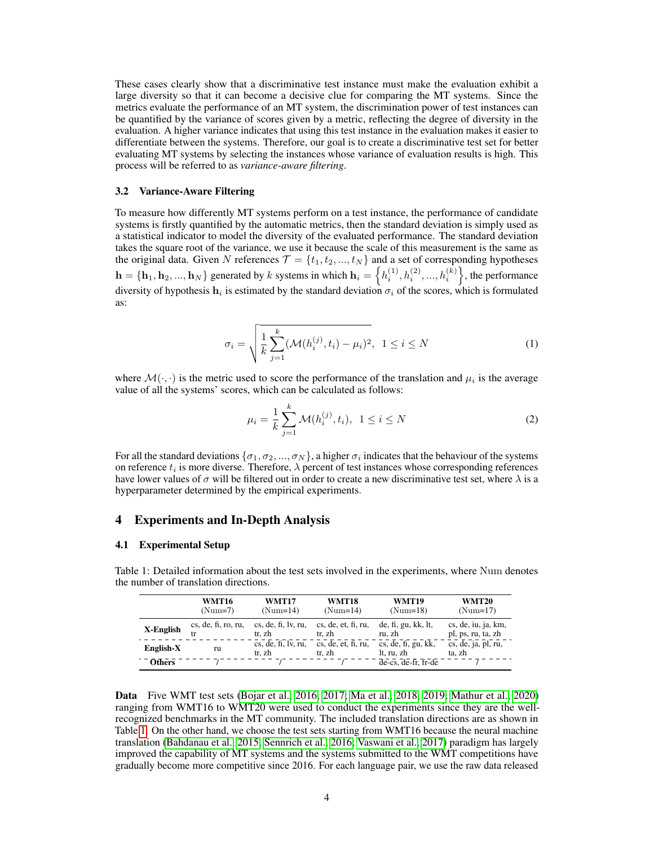These cases clearly show that a discriminative test instance must make the evaluation exhibit a large diversity so that it can become a decisive clue for comparing the MT systems. Since the metrics evaluate the performance of an MT system, the discrimination power of test instances can be quantified by the variance of scores given by a metric, reflecting the degree of diversity in the evaluation. A higher variance indicates that using this test instance in the evaluation makes it easier to differentiate between the systems. Therefore, our goal is to create a discriminative test set for better evaluating MT systems by selecting the instances whose variance of evaluation results is high. This process will be referred to as *variance-aware filtering*.

#### 3.2 Variance-Aware Filtering

To measure how differently MT systems perform on a test instance, the performance of candidate systems is firstly quantified by the automatic metrics, then the standard deviation is simply used as a statistical indicator to model the diversity of the evaluated performance. The standard deviation takes the square root of the variance, we use it because the scale of this measurement is the same as the original data. Given N references  $\mathcal{T} = \{t_1, t_2, ..., t_N\}$  and a set of corresponding hypotheses  $\mathbf{h} = \{\mathbf{h}_1, \mathbf{h}_2, ..., \mathbf{h}_N\}$  generated by  $k$  systems in which  $\mathbf{h}_i = \left\{h_i^{(1)}, h_i^{(2)}, ..., h_i^{(k)}\right\}$ , the performance diversity of hypothesis  $h_i$  is estimated by the standard deviation  $\sigma_i$  of the scores, which is formulated as:

$$
\sigma_i = \sqrt{\frac{1}{k} \sum_{j=1}^k (\mathcal{M}(h_i^{(j)}, t_i) - \mu_i)^2}, \ \ 1 \le i \le N
$$
 (1)

where  $\mathcal{M}(\cdot, \cdot)$  is the metric used to score the performance of the translation and  $\mu_i$  is the average value of all the systems' scores, which can be calculated as follows:

$$
\mu_i = \frac{1}{k} \sum_{j=1}^k \mathcal{M}(h_i^{(j)}, t_i), \ \ 1 \le i \le N \tag{2}
$$

For all the standard deviations  $\{\sigma_1, \sigma_2, ..., \sigma_N\}$ , a higher  $\sigma_i$  indicates that the behaviour of the systems on reference  $t_i$  is more diverse. Therefore,  $\lambda$  percent of test instances whose corresponding references have lower values of  $\sigma$  will be filtered out in order to create a new discriminative test set, where  $\lambda$  is a hyperparameter determined by the empirical experiments.

## 4 Experiments and In-Depth Analysis

## 4.1 Experimental Setup

|               | <b>WMT16</b><br>$(Num=7)$ | <b>WMT17</b><br>$(Num=14)$    | WMT18<br>$(Num=14)$           | WMT19<br>$(Num=18)$               | <b>WMT20</b><br>$(Num=17)$                |
|---------------|---------------------------|-------------------------------|-------------------------------|-----------------------------------|-------------------------------------------|
| X-English     | cs, de, fi, ro, ru,       | cs, de, fi, ly, ru,<br>tr. zh | cs, de, et, fi, ru,<br>tr. zh | de, fi, gu, kk, It,<br>ru. zh     | cs, de, iu, ja, km,<br>pl, ps, ru, ta, zh |
| English-X     | ru                        | cs, de, fi, ly, ru,<br>tr. zh | cs, de, et, fi, ru,<br>tr. zh | cs, de, fi, gu, kk,<br>lt, ru, zh | cs, de, ja, pl, ru,<br>ta. zh             |
| <b>Others</b> |                           |                               |                               | de-cs, de-fr, fr-de               |                                           |

<span id="page-3-0"></span>Table 1: Detailed information about the test sets involved in the experiments, where Num denotes the number of translation directions.

Data Five WMT test sets [\(Bojar et al., 2016,](#page-10-6) [2017;](#page-10-7) [Ma et al., 2018,](#page-11-8) [2019;](#page-11-1) [Mathur et al., 2020\)](#page-12-5) ranging from WMT16 to WMT20 were used to conduct the experiments since they are the wellrecognized benchmarks in the MT community. The included translation directions are as shown in Table [1.](#page-3-0) On the other hand, we choose the test sets starting from WMT16 because the neural machine translation [\(Bahdanau et al., 2015;](#page-9-1) [Sennrich et al., 2016;](#page-12-10) [Vaswani et al., 2017\)](#page-13-4) paradigm has largely improved the capability of MT systems and the systems submitted to the WMT competitions have gradually become more competitive since 2016. For each language pair, we use the raw data released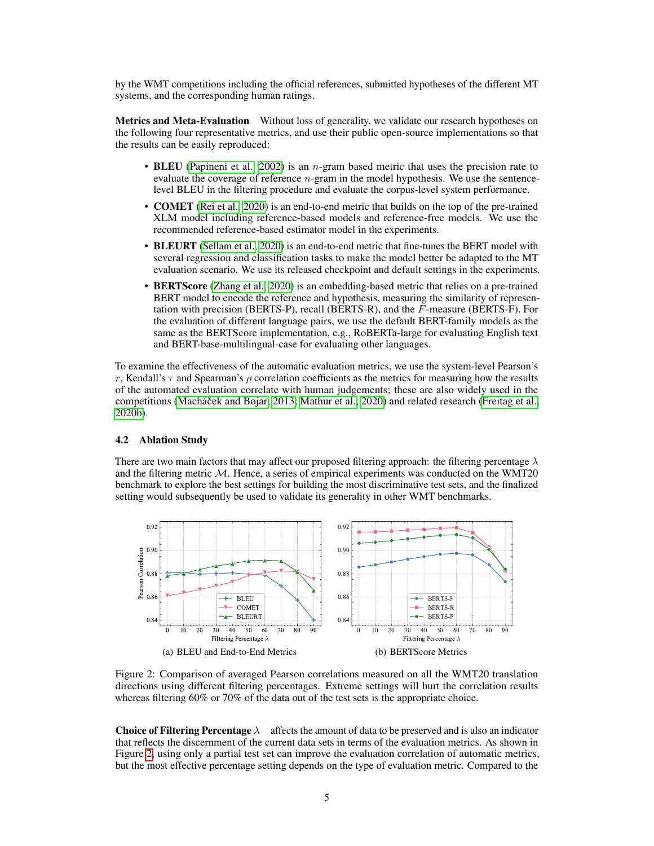by the WMT competitions including the official references, submitted hypotheses of the different MT systems, and the corresponding human ratings.

Metrics and Meta-Evaluation Without loss of generality, we validate our research hypotheses on the following four representative metrics, and use their public open-source implementations so that the results can be easily reproduced:

- BLEU [\(Papineni et al., 2002\)](#page-12-0) is an *n*-gram based metric that uses the precision rate to evaluate the coverage of reference  $n$ -gram in the model hypothesis. We use the sentencelevel BLEU in the filtering procedure and evaluate the corpus-level system performance.
- COMET [\(Rei et al., 2020\)](#page-12-4) is an end-to-end metric that builds on the top of the pre-trained XLM model including reference-based models and reference-free models. We use the recommended reference-based estimator model in the experiments.
- BLEURT [\(Sellam et al., 2020\)](#page-12-3) is an end-to-end metric that fine-tunes the BERT model with several regression and classification tasks to make the model better be adapted to the MT evaluation scenario. We use its released checkpoint and default settings in the experiments.
- BERTScore [\(Zhang et al., 2020\)](#page-13-0) is an embedding-based metric that relies on a pre-trained BERT model to encode the reference and hypothesis, measuring the similarity of representation with precision (BERTS-P), recall (BERTS-R), and the F-measure (BERTS-F). For the evaluation of different language pairs, we use the default BERT-family models as the same as the BERTScore implementation, e.g., RoBERTa-large for evaluating English text and BERT-base-multilingual-case for evaluating other languages.

To examine the effectiveness of the automatic evaluation metrics, we use the system-level Pearson's r, Kendall's  $\tau$  and Spearman's  $\rho$  correlation coefficients as the metrics for measuring how the results of the automated evaluation correlate with human judgements; these are also widely used in the competitions (Macháček and Bojar, 2013; [Mathur et al., 2020\)](#page-12-5) and related research [\(Freitag et al.,](#page-11-2)  $2020b$ ).

## 4.2 Ablation Study

There are two main factors that may affect our proposed filtering approach: the filtering percentage  $\lambda$ and the filtering metric  $M$ . Hence, a series of empirical experiments was conducted on the WMT20 benchmark to explore the best settings for building the most discriminative test sets, and the finalized setting would subsequently be used to validate its generality in other WMT benchmarks.



<span id="page-4-0"></span>Figure 2: Comparison of averaged Pearson correlations measured on all the WMT20 translation directions using different filtering percentages. Extreme settings will hurt the correlation results whereas filtering 60% or 70% of the data out of the test sets is the appropriate choice.

**Choice of Filtering Percentage**  $\lambda$  affects the amount of data to be preserved and is also an indicator that reflects the discernment of the current data sets in terms of the evaluation metrics. As shown in Figure [2,](#page-4-0) using only a partial test set can improve the evaluation correlation of automatic metrics, but the most effective percentage setting depends on the type of evaluation metric. Compared to the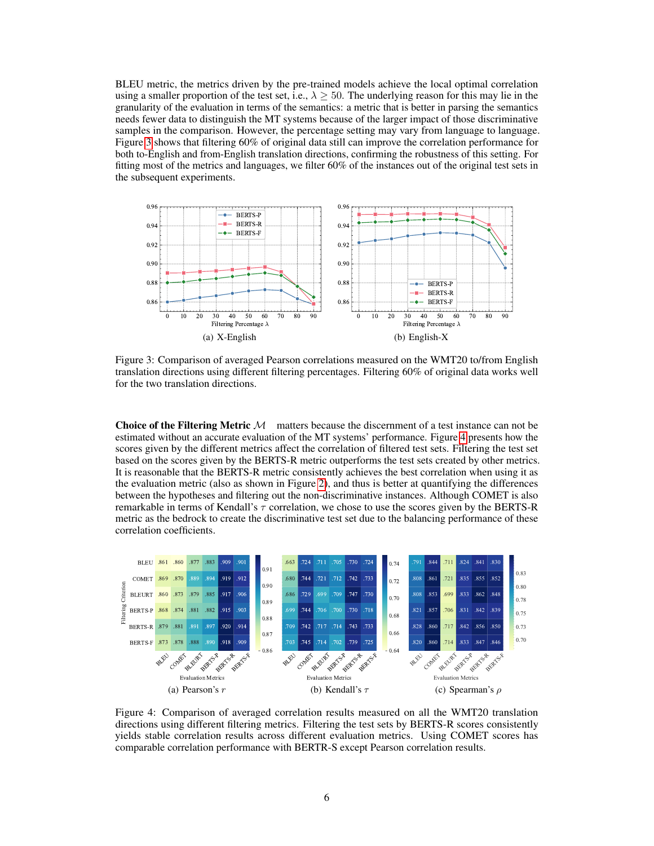BLEU metric, the metrics driven by the pre-trained models achieve the local optimal correlation using a smaller proportion of the test set, i.e.,  $\lambda > 50$ . The underlying reason for this may lie in the granularity of the evaluation in terms of the semantics: a metric that is better in parsing the semantics needs fewer data to distinguish the MT systems because of the larger impact of those discriminative samples in the comparison. However, the percentage setting may vary from language to language. Figure [3](#page-5-0) shows that filtering 60% of original data still can improve the correlation performance for both to-English and from-English translation directions, confirming the robustness of this setting. For fitting most of the metrics and languages, we filter 60% of the instances out of the original test sets in the subsequent experiments.



<span id="page-5-0"></span>Figure 3: Comparison of averaged Pearson correlations measured on the WMT20 to/from English translation directions using different filtering percentages. Filtering 60% of original data works well for the two translation directions.

**Choice of the Filtering Metric**  $M$  matters because the discernment of a test instance can not be estimated without an accurate evaluation of the MT systems' performance. Figure [4](#page-5-1) presents how the scores given by the different metrics affect the correlation of filtered test sets. Filtering the test set based on the scores given by the BERTS-R metric outperforms the test sets created by other metrics. It is reasonable that the BERTS-R metric consistently achieves the best correlation when using it as the evaluation metric (also as shown in Figure [2\)](#page-4-0), and thus is better at quantifying the differences between the hypotheses and filtering out the non-discriminative instances. Although COMET is also remarkable in terms of Kendall's  $\tau$  correlation, we chose to use the scores given by the BERTS-R metric as the bedrock to create the discriminative test set due to the balancing performance of these correlation coefficients.



<span id="page-5-1"></span>Figure 4: Comparison of averaged correlation results measured on all the WMT20 translation directions using different filtering metrics. Filtering the test sets by BERTS-R scores consistently yields stable correlation results across different evaluation metrics. Using COMET scores has comparable correlation performance with BERTR-S except Pearson correlation results.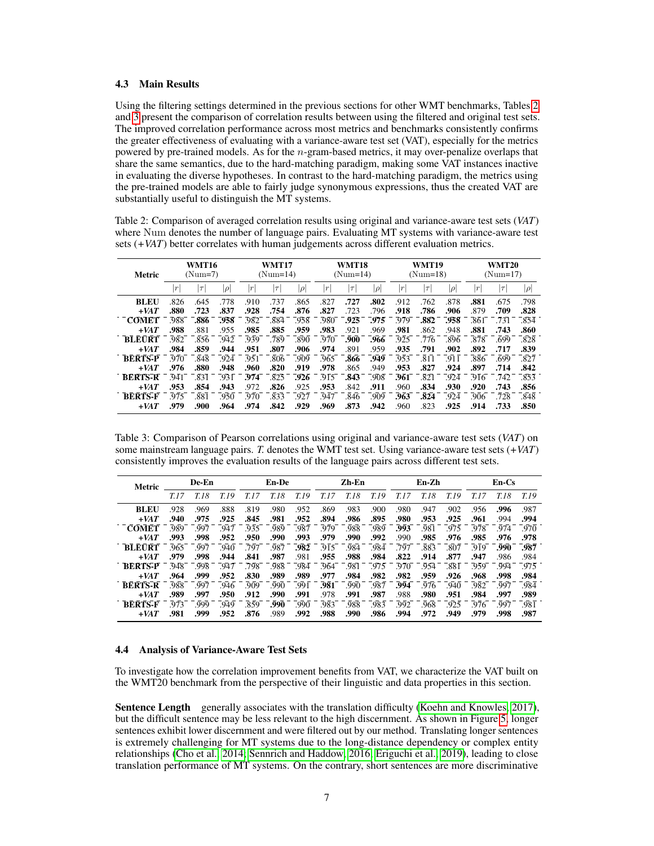#### 4.3 Main Results

Using the filtering settings determined in the previous sections for other WMT benchmarks, Tables [2](#page-6-0) and [3](#page-6-1) present the comparison of correlation results between using the filtered and original test sets. The improved correlation performance across most metrics and benchmarks consistently confirms the greater effectiveness of evaluating with a variance-aware test set (VAT), especially for the metrics powered by pre-trained models. As for the  $n$ -gram-based metrics, it may over-penalize overlaps that share the same semantics, due to the hard-matching paradigm, making some VAT instances inactive in evaluating the diverse hypotheses. In contrast to the hard-matching paradigm, the metrics using the pre-trained models are able to fairly judge synonymous expressions, thus the created VAT are substantially useful to distinguish the MT systems.

<span id="page-6-0"></span>Table 2: Comparison of averaged correlation results using original and variance-aware test sets (*VAT*) where Num denotes the number of language pairs. Evaluating MT systems with variance-aware test sets (*+VAT*) better correlates with human judgements across different evaluation metrics.

| Metric                | WMT16<br>$(Num=7)$ |              |              | <b>WMT17</b><br>$(Num=14)$ |              |              | <b>WMT18</b><br>$(Num=14)$ |              |              | WMT19<br>$(Num=18)$ |              |              | <b>WMT20</b><br>$(Num=17)$ |              |                   |
|-----------------------|--------------------|--------------|--------------|----------------------------|--------------|--------------|----------------------------|--------------|--------------|---------------------|--------------|--------------|----------------------------|--------------|-------------------|
|                       | r                  | $\tau$       | $ \rho $     | $\left  r\right $          | $\tau$       | $ \rho $     | r                          | $\tau$       | $ \rho $     | $\boldsymbol{r}$    | $\tau$       | $ \rho $     | $\vert r$                  | $\tau$       | $ \rho $          |
| <b>BLEU</b><br>$+VAT$ | .826<br>.880       | .645<br>.723 | .778<br>.837 | .910<br>.928               | .737<br>.754 | .865<br>.876 | .827<br>.827               | .727<br>.723 | .802<br>.796 | .912<br>.918        | .762<br>.786 | .878<br>.906 | .881<br>.879               | .675<br>.709 | .798<br>.828      |
| <b>COMET</b>          | .988               | .886         | .958         | .982                       | .884         | .958         | .980                       | .925         | .975         | .979                | .882         | .958         | .861                       | .731         | .854              |
| $+VAT$                | .988               | .881         | .955         | .985                       | .885         | .959         | .983                       | .921         | .969         | .981                | .862         | .948         | .881                       | .743         | .860              |
| <b>BLEURT</b>         | .982               | .856         | .942         | .939                       | .789         | .890         | .970                       | .900         | .966         | .925                | .776         | .896         | .878                       | .699         | $\overline{.828}$ |
| $+VAT$                | .984               | .859         | .944         | .951                       | .807         | .906         | .974                       | .891         | .959         | .935                | .791         | .902         | .892                       | .717         | .839              |
| <b>BERTS-P</b>        | .970               | .848         | .924         | .951                       | .806         | .909         | .965                       | .866         | .949         | .953                | .811         | .911         | .886                       | .699         | .827              |
| $+VAT$                | .976               | .880         | .948         | .960                       | .820         | .919         | .978                       | .865         | .949         | .953                | .827         | .924         | .897                       | .714         | .842              |
| <b>BERTS-R</b>        | .941               | .831         | .931         | .974                       | .825         | .926         | .915                       | .843         | .908         | .961                | .821         | .924         | .916                       | -742         | .853              |
| $+VAT$                | .953               | .854         | .943         | .972                       | .826         | .925         | .953                       | .842         | .911         | .960                | .834         | .930         | .920                       | .743         | .856              |
| <b>BERTS-F</b>        | 975                | .881         | .950         | .970                       | .833         | .927         | .947                       | .846         | .909         | .963                | .824         | .924         | .906                       | .728         | .848              |
| $+VAT$                | .979               | .900         | .964         | .974                       | .842         | .929         | .969                       | .873         | .942         | .960                | .823         | .925         | .914                       | .733         | .850              |

<span id="page-6-1"></span>Table 3: Comparison of Pearson correlations using original and variance-aware test sets (*VAT*) on some mainstream language pairs. *T.* denotes the WMT test set. Using variance-aware test sets (*+VAT*) consistently improves the evaluation results of the language pairs across different test sets.

| Metric         | De-En |      |      | En-De |      |      | Zh-En |      |      | En-Zh |      |       | En-Cs |       |        |
|----------------|-------|------|------|-------|------|------|-------|------|------|-------|------|-------|-------|-------|--------|
|                | T.17  | T.18 | T 19 | T. 17 | T.18 | T.19 | T.17  | T.18 | T.19 | T.17  | T.18 | T. 19 |       | T. 18 | T.19   |
| <b>BLEU</b>    | .928  | .969 | .888 | .819  | .980 | .952 | .869  | .983 | .900 | .980  | .947 | .902  | .956  | .996  | .987   |
| $+VAT$         | .940  | .975 | .925 | .845  | .981 | .952 | .894  | .986 | .895 | .980  | .953 | .925  | .961  | .994  | .994   |
| <b>COMET</b>   | .989  | .997 | .947 | .935  | .989 | .987 | .979  | .988 | .989 | .993  | .981 | .975  | .978  | .974  | .970   |
| $+VAT$         | .993  | .998 | .952 | .950  | .990 | .993 | .979  | .990 | .992 | .990  | .985 | .976  | .985  | .976  | .978   |
| <b>BLEURT</b>  | .965  | -997 | .940 | .797  | .987 | .982 | .915  | .984 | .984 | .797  | .883 | .807  | .919  | .990  | .987   |
| $+VAT$         | .979  | .998 | .944 | .841  | .987 | .981 | .955  | .988 | .984 | .822  | .914 | .877  | .947  | .986  | .984   |
| <b>BERTS-P</b> | .948  | .998 | .947 | .798  | .988 | .984 | .964  | .981 | .975 | .970  | .954 | .881  | .959  | .994  | $-975$ |
| $+VAT$         | .964  | .999 | .952 | .830  | .989 | .989 | .977  | .984 | .982 | .982  | .959 | .926  | .968  | .998  | .984   |
| <b>BERTS-R</b> | .988  | .997 | .946 | .909  | .990 | .991 | .981  | .990 | .987 | .994  | .976 | .940  | .982  | .997  | .984   |
| $+VAT$         | .989  | .997 | .950 | .912  | .990 | .991 | .978  | .991 | .987 | .988  | .980 | .951  | .984  | .997  | .989   |
| <b>BERTS-F</b> | 973   | .999 | .949 | .859  | .990 | .990 | .983  | .988 | .983 | .992  | .968 | .925  | 976   | .997  | .981   |
| $+VAT$         | .981  | .999 | .952 | .876  | .989 | .992 | .988  | .990 | .986 | .994  | .972 | .949  | .979  | .998  | .987   |

#### 4.4 Analysis of Variance-Aware Test Sets

To investigate how the correlation improvement benefits from VAT, we characterize the VAT built on the WMT20 benchmark from the perspective of their linguistic and data properties in this section.

Sentence Length generally associates with the translation difficulty [\(Koehn and Knowles, 2017\)](#page-11-9), but the difficult sentence may be less relevant to the high discernment. As shown in Figure [5,](#page-7-0) longer sentences exhibit lower discernment and were filtered out by our method. Translating longer sentences is extremely challenging for MT systems due to the long-distance dependency or complex entity relationships [\(Cho et al., 2014;](#page-10-8) [Sennrich and Haddow, 2016;](#page-12-12) [Eriguchi et al., 2019\)](#page-11-10), leading to close translation performance of MT systems. On the contrary, short sentences are more discriminative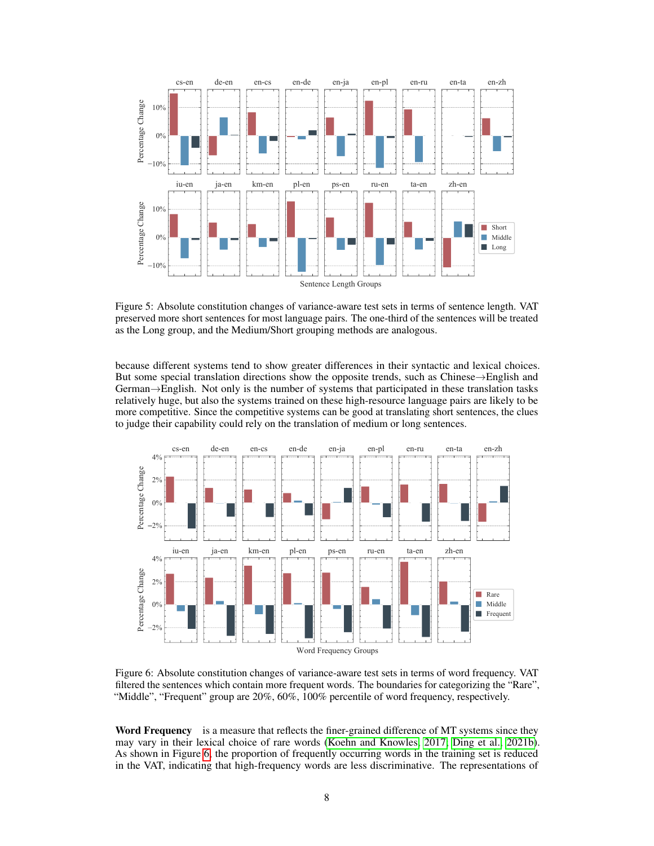

<span id="page-7-0"></span>Figure 5: Absolute constitution changes of variance-aware test sets in terms of sentence length. VAT preserved more short sentences for most language pairs. The one-third of the sentences will be treated as the Long group, and the Medium/Short grouping methods are analogous.

because different systems tend to show greater differences in their syntactic and lexical choices. But some special translation directions show the opposite trends, such as Chinese→English and German→English. Not only is the number of systems that participated in these translation tasks relatively huge, but also the systems trained on these high-resource language pairs are likely to be more competitive. Since the competitive systems can be good at translating short sentences, the clues to judge their capability could rely on the translation of medium or long sentences.



<span id="page-7-1"></span>Figure 6: Absolute constitution changes of variance-aware test sets in terms of word frequency. VAT filtered the sentences which contain more frequent words. The boundaries for categorizing the "Rare", "Middle", "Frequent" group are 20%, 60%, 100% percentile of word frequency, respectively.

Word Frequency is a measure that reflects the finer-grained difference of MT systems since they may vary in their lexical choice of rare words [\(Koehn and Knowles, 2017;](#page-11-9) [Ding et al., 2021b\)](#page-10-9). As shown in Figure [6,](#page-7-1) the proportion of frequently occurring words in the training set is reduced in the VAT, indicating that high-frequency words are less discriminative. The representations of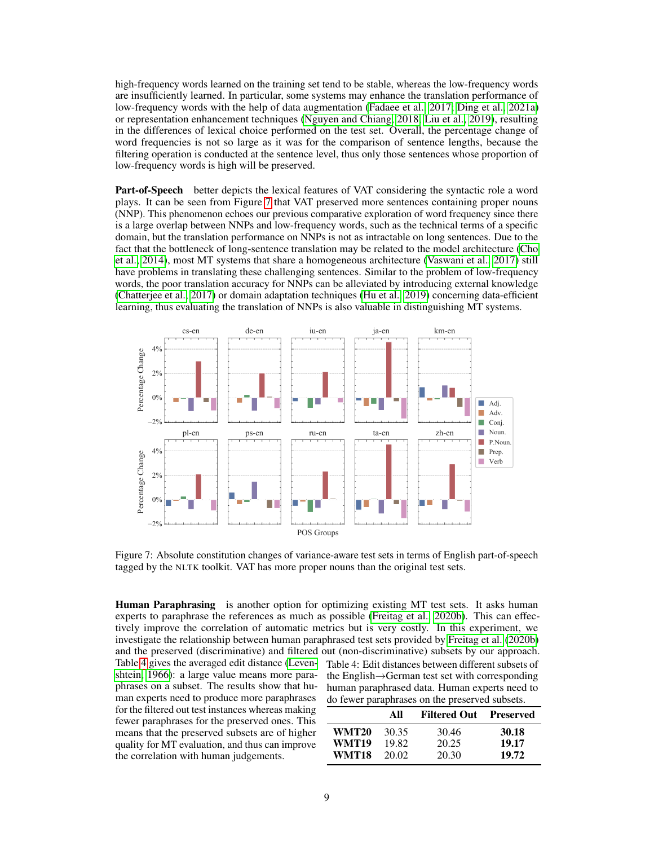high-frequency words learned on the training set tend to be stable, whereas the low-frequency words are insufficiently learned. In particular, some systems may enhance the translation performance of low-frequency words with the help of data augmentation [\(Fadaee et al., 2017;](#page-11-11) [Ding et al., 2021a\)](#page-10-10) or representation enhancement techniques [\(Nguyen and Chiang, 2018;](#page-12-13) [Liu et al., 2019\)](#page-11-12), resulting in the differences of lexical choice performed on the test set. Overall, the percentage change of word frequencies is not so large as it was for the comparison of sentence lengths, because the filtering operation is conducted at the sentence level, thus only those sentences whose proportion of low-frequency words is high will be preserved.

Part-of-Speech better depicts the lexical features of VAT considering the syntactic role a word plays. It can be seen from Figure [7](#page-8-0) that VAT preserved more sentences containing proper nouns (NNP). This phenomenon echoes our previous comparative exploration of word frequency since there is a large overlap between NNPs and low-frequency words, such as the technical terms of a specific domain, but the translation performance on NNPs is not as intractable on long sentences. Due to the fact that the bottleneck of long-sentence translation may be related to the model architecture [\(Cho](#page-10-8) [et al., 2014\)](#page-10-8), most MT systems that share a homogeneous architecture [\(Vaswani et al., 2017\)](#page-13-4) still have problems in translating these challenging sentences. Similar to the problem of low-frequency words, the poor translation accuracy for NNPs can be alleviated by introducing external knowledge [\(Chatterjee et al., 2017\)](#page-10-11) or domain adaptation techniques [\(Hu et al., 2019\)](#page-11-13) concerning data-efficient learning, thus evaluating the translation of NNPs is also valuable in distinguishing MT systems.



Figure 7: Absolute constitution changes of variance-aware test sets in terms of English part-of-speech tagged by the NLTK toolkit. VAT has more proper nouns than the original test sets.

Human Paraphrasing is another option for optimizing existing MT test sets. It asks human experts to paraphrase the references as much as possible [\(Freitag et al., 2020b\)](#page-11-2). This can effectively improve the correlation of automatic metrics but is very costly. In this experiment, we investigate the relationship between human paraphrased test sets provided by [Freitag et al.](#page-11-2) [\(2020b\)](#page-11-2) and the preserved (discriminative) and filtered out (non-discriminative) subsets by our approach. Table 4: Edit distances between different subsets of the English→German test set with corresponding human paraphrased data. Human experts need to do fewer paraphrases on the preserved subsets. All Filtered Out Preserved WMT20 30.35 30.46 30.18 WMT19 19.82 20.25 19.17 WMT18 20.02 20.30 19.72 Table [4](#page-8-1) gives the averaged edit distance [\(Leven](#page-11-14)[shtein, 1966\)](#page-11-14): a large value means more paraphrases on a subset. The results show that human experts need to produce more paraphrases for the filtered out test instances whereas making fewer paraphrases for the preserved ones. This means that the preserved subsets are of higher quality for MT evaluation, and thus can improve the correlation with human judgements.

<span id="page-8-1"></span><span id="page-8-0"></span>9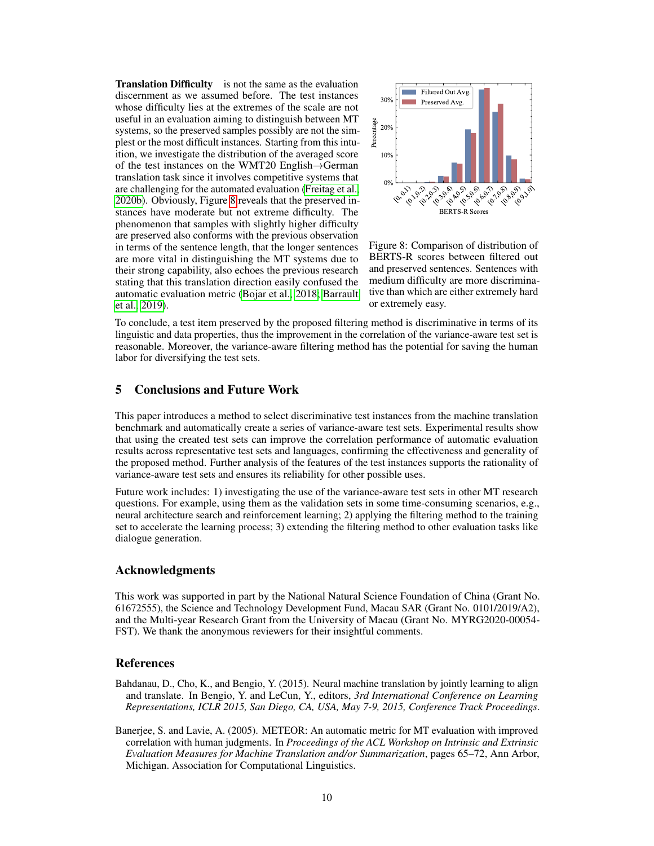Translation Difficulty is not the same as the evaluation discernment as we assumed before. The test instances whose difficulty lies at the extremes of the scale are not useful in an evaluation aiming to distinguish between MT systems, so the preserved samples possibly are not the simplest or the most difficult instances. Starting from this intuition, we investigate the distribution of the averaged score of the test instances on the WMT20 English→German translation task since it involves competitive systems that are challenging for the automated evaluation [\(Freitag et al.,](#page-11-2) [2020b\)](#page-11-2). Obviously, Figure [8](#page-9-2) reveals that the preserved instances have moderate but not extreme difficulty. The phenomenon that samples with slightly higher difficulty are preserved also conforms with the previous observation in terms of the sentence length, that the longer sentences are more vital in distinguishing the MT systems due to their strong capability, also echoes the previous research stating that this translation direction easily confused the automatic evaluation metric [\(Bojar et al., 2018;](#page-10-12) [Barrault](#page-10-13) [et al., 2019\)](#page-10-13).



<span id="page-9-2"></span>Figure 8: Comparison of distribution of BERTS-R scores between filtered out and preserved sentences. Sentences with medium difficulty are more discriminative than which are either extremely hard or extremely easy.

To conclude, a test item preserved by the proposed filtering method is discriminative in terms of its linguistic and data properties, thus the improvement in the correlation of the variance-aware test set is reasonable. Moreover, the variance-aware filtering method has the potential for saving the human labor for diversifying the test sets.

# 5 Conclusions and Future Work

This paper introduces a method to select discriminative test instances from the machine translation benchmark and automatically create a series of variance-aware test sets. Experimental results show that using the created test sets can improve the correlation performance of automatic evaluation results across representative test sets and languages, confirming the effectiveness and generality of the proposed method. Further analysis of the features of the test instances supports the rationality of variance-aware test sets and ensures its reliability for other possible uses.

Future work includes: 1) investigating the use of the variance-aware test sets in other MT research questions. For example, using them as the validation sets in some time-consuming scenarios, e.g., neural architecture search and reinforcement learning; 2) applying the filtering method to the training set to accelerate the learning process; 3) extending the filtering method to other evaluation tasks like dialogue generation.

## Acknowledgments

This work was supported in part by the National Natural Science Foundation of China (Grant No. 61672555), the Science and Technology Development Fund, Macau SAR (Grant No. 0101/2019/A2), and the Multi-year Research Grant from the University of Macau (Grant No. MYRG2020-00054- FST). We thank the anonymous reviewers for their insightful comments.

## References

- <span id="page-9-1"></span>Bahdanau, D., Cho, K., and Bengio, Y. (2015). Neural machine translation by jointly learning to align and translate. In Bengio, Y. and LeCun, Y., editors, *3rd International Conference on Learning Representations, ICLR 2015, San Diego, CA, USA, May 7-9, 2015, Conference Track Proceedings*.
- <span id="page-9-0"></span>Banerjee, S. and Lavie, A. (2005). METEOR: An automatic metric for MT evaluation with improved correlation with human judgments. In *Proceedings of the ACL Workshop on Intrinsic and Extrinsic Evaluation Measures for Machine Translation and/or Summarization*, pages 65–72, Ann Arbor, Michigan. Association for Computational Linguistics.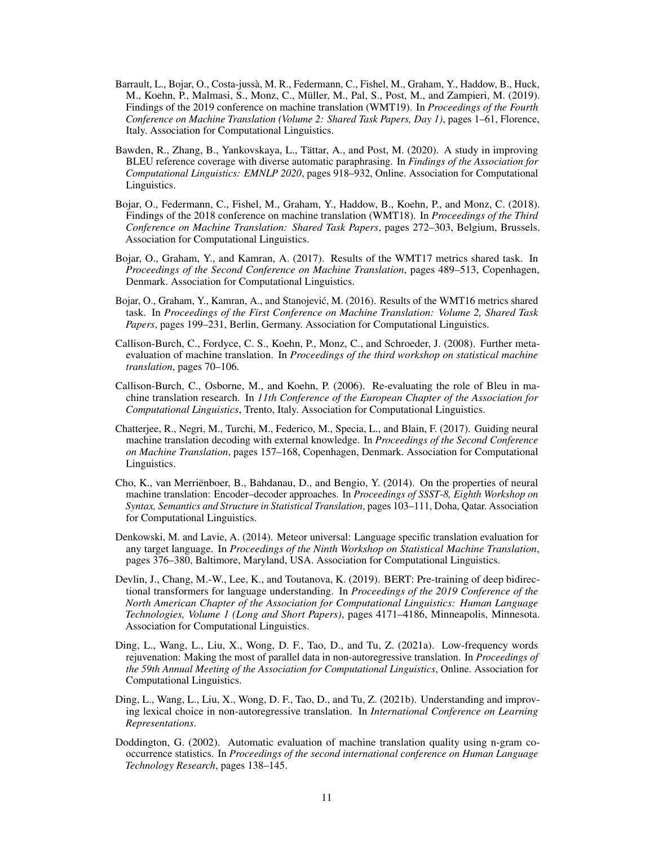- <span id="page-10-13"></span>Barrault, L., Bojar, O., Costa-jussà, M. R., Federmann, C., Fishel, M., Graham, Y., Haddow, B., Huck, M., Koehn, P., Malmasi, S., Monz, C., Müller, M., Pal, S., Post, M., and Zampieri, M. (2019). Findings of the 2019 conference on machine translation (WMT19). In *Proceedings of the Fourth Conference on Machine Translation (Volume 2: Shared Task Papers, Day 1)*, pages 1–61, Florence, Italy. Association for Computational Linguistics.
- <span id="page-10-0"></span>Bawden, R., Zhang, B., Yankovskaya, L., Tättar, A., and Post, M. (2020). A study in improving BLEU reference coverage with diverse automatic paraphrasing. In *Findings of the Association for Computational Linguistics: EMNLP 2020*, pages 918–932, Online. Association for Computational Linguistics.
- <span id="page-10-12"></span>Bojar, O., Federmann, C., Fishel, M., Graham, Y., Haddow, B., Koehn, P., and Monz, C. (2018). Findings of the 2018 conference on machine translation (WMT18). In *Proceedings of the Third Conference on Machine Translation: Shared Task Papers*, pages 272–303, Belgium, Brussels. Association for Computational Linguistics.
- <span id="page-10-7"></span>Bojar, O., Graham, Y., and Kamran, A. (2017). Results of the WMT17 metrics shared task. In *Proceedings of the Second Conference on Machine Translation*, pages 489–513, Copenhagen, Denmark. Association for Computational Linguistics.
- <span id="page-10-6"></span>Bojar, O., Graham, Y., Kamran, A., and Stanojević, M. (2016). Results of the WMT16 metrics shared task. In *Proceedings of the First Conference on Machine Translation: Volume 2, Shared Task Papers*, pages 199–231, Berlin, Germany. Association for Computational Linguistics.
- <span id="page-10-5"></span>Callison-Burch, C., Fordyce, C. S., Koehn, P., Monz, C., and Schroeder, J. (2008). Further metaevaluation of machine translation. In *Proceedings of the third workshop on statistical machine translation*, pages 70–106.
- <span id="page-10-4"></span>Callison-Burch, C., Osborne, M., and Koehn, P. (2006). Re-evaluating the role of Bleu in machine translation research. In *11th Conference of the European Chapter of the Association for Computational Linguistics*, Trento, Italy. Association for Computational Linguistics.
- <span id="page-10-11"></span>Chatterjee, R., Negri, M., Turchi, M., Federico, M., Specia, L., and Blain, F. (2017). Guiding neural machine translation decoding with external knowledge. In *Proceedings of the Second Conference on Machine Translation*, pages 157–168, Copenhagen, Denmark. Association for Computational Linguistics.
- <span id="page-10-8"></span>Cho, K., van Merriënboer, B., Bahdanau, D., and Bengio, Y. (2014). On the properties of neural machine translation: Encoder–decoder approaches. In *Proceedings of SSST-8, Eighth Workshop on Syntax, Semantics and Structure in Statistical Translation*, pages 103–111, Doha, Qatar. Association for Computational Linguistics.
- <span id="page-10-2"></span>Denkowski, M. and Lavie, A. (2014). Meteor universal: Language specific translation evaluation for any target language. In *Proceedings of the Ninth Workshop on Statistical Machine Translation*, pages 376–380, Baltimore, Maryland, USA. Association for Computational Linguistics.
- <span id="page-10-3"></span>Devlin, J., Chang, M.-W., Lee, K., and Toutanova, K. (2019). BERT: Pre-training of deep bidirectional transformers for language understanding. In *Proceedings of the 2019 Conference of the North American Chapter of the Association for Computational Linguistics: Human Language Technologies, Volume 1 (Long and Short Papers)*, pages 4171–4186, Minneapolis, Minnesota. Association for Computational Linguistics.
- <span id="page-10-10"></span>Ding, L., Wang, L., Liu, X., Wong, D. F., Tao, D., and Tu, Z. (2021a). Low-frequency words rejuvenation: Making the most of parallel data in non-autoregressive translation. In *Proceedings of the 59th Annual Meeting of the Association for Computational Linguistics*, Online. Association for Computational Linguistics.
- <span id="page-10-9"></span>Ding, L., Wang, L., Liu, X., Wong, D. F., Tao, D., and Tu, Z. (2021b). Understanding and improving lexical choice in non-autoregressive translation. In *International Conference on Learning Representations*.
- <span id="page-10-1"></span>Doddington, G. (2002). Automatic evaluation of machine translation quality using n-gram cooccurrence statistics. In *Proceedings of the second international conference on Human Language Technology Research*, pages 138–145.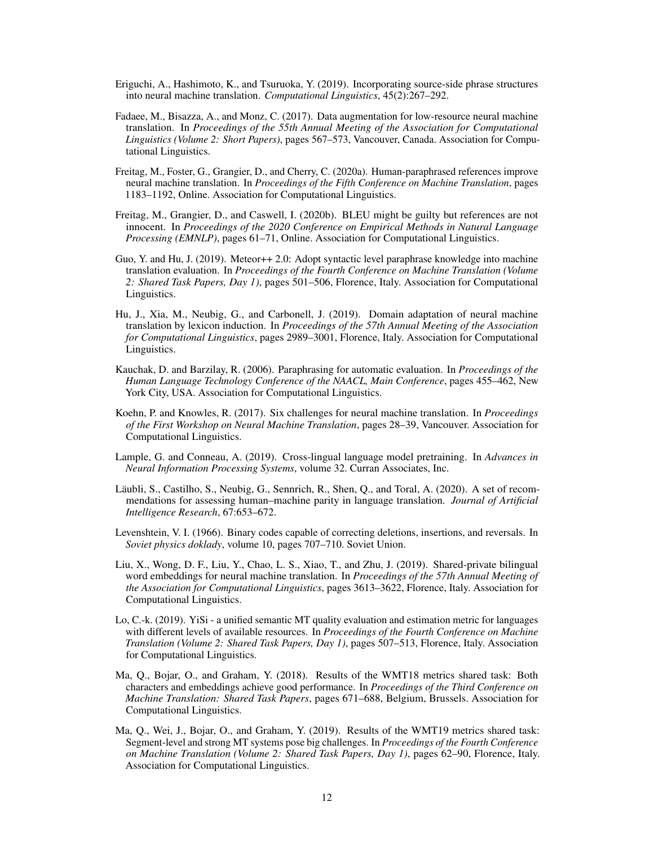- <span id="page-11-10"></span>Eriguchi, A., Hashimoto, K., and Tsuruoka, Y. (2019). Incorporating source-side phrase structures into neural machine translation. *Computational Linguistics*, 45(2):267–292.
- <span id="page-11-11"></span>Fadaee, M., Bisazza, A., and Monz, C. (2017). Data augmentation for low-resource neural machine translation. In *Proceedings of the 55th Annual Meeting of the Association for Computational Linguistics (Volume 2: Short Papers)*, pages 567–573, Vancouver, Canada. Association for Computational Linguistics.
- <span id="page-11-3"></span>Freitag, M., Foster, G., Grangier, D., and Cherry, C. (2020a). Human-paraphrased references improve neural machine translation. In *Proceedings of the Fifth Conference on Machine Translation*, pages 1183–1192, Online. Association for Computational Linguistics.
- <span id="page-11-2"></span>Freitag, M., Grangier, D., and Caswell, I. (2020b). BLEU might be guilty but references are not innocent. In *Proceedings of the 2020 Conference on Empirical Methods in Natural Language Processing (EMNLP)*, pages 61–71, Online. Association for Computational Linguistics.
- <span id="page-11-5"></span>Guo, Y. and Hu, J. (2019). Meteor++ 2.0: Adopt syntactic level paraphrase knowledge into machine translation evaluation. In *Proceedings of the Fourth Conference on Machine Translation (Volume 2: Shared Task Papers, Day 1)*, pages 501–506, Florence, Italy. Association for Computational Linguistics.
- <span id="page-11-13"></span>Hu, J., Xia, M., Neubig, G., and Carbonell, J. (2019). Domain adaptation of neural machine translation by lexicon induction. In *Proceedings of the 57th Annual Meeting of the Association for Computational Linguistics*, pages 2989–3001, Florence, Italy. Association for Computational Linguistics.
- <span id="page-11-4"></span>Kauchak, D. and Barzilay, R. (2006). Paraphrasing for automatic evaluation. In *Proceedings of the Human Language Technology Conference of the NAACL, Main Conference*, pages 455–462, New York City, USA. Association for Computational Linguistics.
- <span id="page-11-9"></span>Koehn, P. and Knowles, R. (2017). Six challenges for neural machine translation. In *Proceedings of the First Workshop on Neural Machine Translation*, pages 28–39, Vancouver. Association for Computational Linguistics.
- <span id="page-11-7"></span>Lample, G. and Conneau, A. (2019). Cross-lingual language model pretraining. In *Advances in Neural Information Processing Systems*, volume 32. Curran Associates, Inc.
- <span id="page-11-6"></span>Läubli, S., Castilho, S., Neubig, G., Sennrich, R., Shen, Q., and Toral, A. (2020). A set of recommendations for assessing human–machine parity in language translation. *Journal of Artificial Intelligence Research*, 67:653–672.
- <span id="page-11-14"></span>Levenshtein, V. I. (1966). Binary codes capable of correcting deletions, insertions, and reversals. In *Soviet physics doklady*, volume 10, pages 707–710. Soviet Union.
- <span id="page-11-12"></span>Liu, X., Wong, D. F., Liu, Y., Chao, L. S., Xiao, T., and Zhu, J. (2019). Shared-private bilingual word embeddings for neural machine translation. In *Proceedings of the 57th Annual Meeting of the Association for Computational Linguistics*, pages 3613–3622, Florence, Italy. Association for Computational Linguistics.
- <span id="page-11-0"></span>Lo, C.-k. (2019). YiSi - a unified semantic MT quality evaluation and estimation metric for languages with different levels of available resources. In *Proceedings of the Fourth Conference on Machine Translation (Volume 2: Shared Task Papers, Day 1)*, pages 507–513, Florence, Italy. Association for Computational Linguistics.
- <span id="page-11-8"></span>Ma, Q., Bojar, O., and Graham, Y. (2018). Results of the WMT18 metrics shared task: Both characters and embeddings achieve good performance. In *Proceedings of the Third Conference on Machine Translation: Shared Task Papers*, pages 671–688, Belgium, Brussels. Association for Computational Linguistics.
- <span id="page-11-1"></span>Ma, Q., Wei, J., Bojar, O., and Graham, Y. (2019). Results of the WMT19 metrics shared task: Segment-level and strong MT systems pose big challenges. In *Proceedings of the Fourth Conference on Machine Translation (Volume 2: Shared Task Papers, Day 1)*, pages 62–90, Florence, Italy. Association for Computational Linguistics.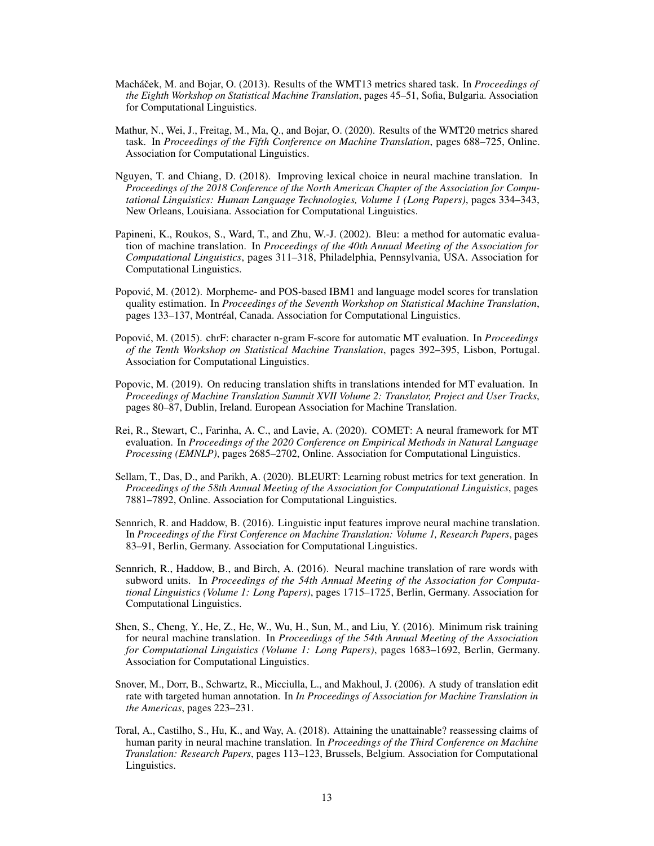- <span id="page-12-11"></span>Macháček, M. and Bojar, O. (2013). Results of the WMT13 metrics shared task. In *Proceedings of the Eighth Workshop on Statistical Machine Translation*, pages 45–51, Sofia, Bulgaria. Association for Computational Linguistics.
- <span id="page-12-5"></span>Mathur, N., Wei, J., Freitag, M., Ma, Q., and Bojar, O. (2020). Results of the WMT20 metrics shared task. In *Proceedings of the Fifth Conference on Machine Translation*, pages 688–725, Online. Association for Computational Linguistics.
- <span id="page-12-13"></span>Nguyen, T. and Chiang, D. (2018). Improving lexical choice in neural machine translation. In *Proceedings of the 2018 Conference of the North American Chapter of the Association for Computational Linguistics: Human Language Technologies, Volume 1 (Long Papers)*, pages 334–343, New Orleans, Louisiana. Association for Computational Linguistics.
- <span id="page-12-0"></span>Papineni, K., Roukos, S., Ward, T., and Zhu, W.-J. (2002). Bleu: a method for automatic evaluation of machine translation. In *Proceedings of the 40th Annual Meeting of the Association for Computational Linguistics*, pages 311–318, Philadelphia, Pennsylvania, USA. Association for Computational Linguistics.
- <span id="page-12-2"></span>Popović, M. (2012). Morpheme- and POS-based IBM1 and language model scores for translation quality estimation. In *Proceedings of the Seventh Workshop on Statistical Machine Translation*, pages 133–137, Montréal, Canada. Association for Computational Linguistics.
- <span id="page-12-1"></span>Popović, M. (2015). chrF: character n-gram F-score for automatic MT evaluation. In *Proceedings of the Tenth Workshop on Statistical Machine Translation*, pages 392–395, Lisbon, Portugal. Association for Computational Linguistics.
- <span id="page-12-6"></span>Popovic, M. (2019). On reducing translation shifts in translations intended for MT evaluation. In *Proceedings of Machine Translation Summit XVII Volume 2: Translator, Project and User Tracks*, pages 80–87, Dublin, Ireland. European Association for Machine Translation.
- <span id="page-12-4"></span>Rei, R., Stewart, C., Farinha, A. C., and Lavie, A. (2020). COMET: A neural framework for MT evaluation. In *Proceedings of the 2020 Conference on Empirical Methods in Natural Language Processing (EMNLP)*, pages 2685–2702, Online. Association for Computational Linguistics.
- <span id="page-12-3"></span>Sellam, T., Das, D., and Parikh, A. (2020). BLEURT: Learning robust metrics for text generation. In *Proceedings of the 58th Annual Meeting of the Association for Computational Linguistics*, pages 7881–7892, Online. Association for Computational Linguistics.
- <span id="page-12-12"></span>Sennrich, R. and Haddow, B. (2016). Linguistic input features improve neural machine translation. In *Proceedings of the First Conference on Machine Translation: Volume 1, Research Papers*, pages 83–91, Berlin, Germany. Association for Computational Linguistics.
- <span id="page-12-10"></span>Sennrich, R., Haddow, B., and Birch, A. (2016). Neural machine translation of rare words with subword units. In *Proceedings of the 54th Annual Meeting of the Association for Computational Linguistics (Volume 1: Long Papers)*, pages 1715–1725, Berlin, Germany. Association for Computational Linguistics.
- <span id="page-12-8"></span>Shen, S., Cheng, Y., He, Z., He, W., Wu, H., Sun, M., and Liu, Y. (2016). Minimum risk training for neural machine translation. In *Proceedings of the 54th Annual Meeting of the Association for Computational Linguistics (Volume 1: Long Papers)*, pages 1683–1692, Berlin, Germany. Association for Computational Linguistics.
- <span id="page-12-9"></span>Snover, M., Dorr, B., Schwartz, R., Micciulla, L., and Makhoul, J. (2006). A study of translation edit rate with targeted human annotation. In *In Proceedings of Association for Machine Translation in the Americas*, pages 223–231.
- <span id="page-12-7"></span>Toral, A., Castilho, S., Hu, K., and Way, A. (2018). Attaining the unattainable? reassessing claims of human parity in neural machine translation. In *Proceedings of the Third Conference on Machine Translation: Research Papers*, pages 113–123, Brussels, Belgium. Association for Computational Linguistics.